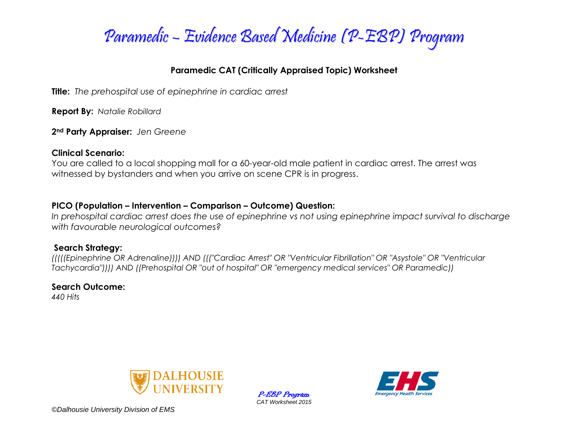

### **Paramedic CAT (Critically Appraised Topic) Worksheet**

**Title:** *The prehospital use of epinephrine in cardiac arrest*

**Report By:** *Natalie Robillard*

**2nd Party Appraiser:** *Jen Greene*

### **Clinical Scenario:**

You are called to a local shopping mall for a 60-year-old male patient in cardiac arrest. The arrest was witnessed by bystanders and when you arrive on scene CPR is in progress.

### **PICO (Population – Intervention – Comparison – Outcome) Question:**

*In prehospital cardiac arrest does the use of epinephrine vs not using epinephrine impact survival to discharge with favourable neurological outcomes?*

### **Search Strategy:**

*(((((Epinephrine OR Adrenaline)))) AND ((("Cardiac Arrest" OR "Ventricular Fibrillation" OR "Asystole" OR "Ventricular Tachycardia")))) AND ((Prehospital OR "out of hospital" OR "emergency medical services" OR Paramedic))*

**Search Outcome:** *440 Hits*



P-EBP Program *CAT Worksheet 2015*

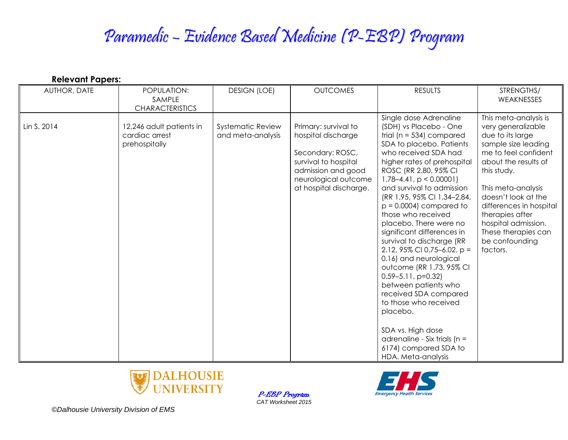| <b>Relevant Papers:</b> |                                                             |                                               |                                                                                                                                                                |                                                                                                                                                                                                                                                                                                                                                                                                                                                                                                                                                                                                                                                                                                                                              |                                                                                                                                                                                                                                                                                                                              |
|-------------------------|-------------------------------------------------------------|-----------------------------------------------|----------------------------------------------------------------------------------------------------------------------------------------------------------------|----------------------------------------------------------------------------------------------------------------------------------------------------------------------------------------------------------------------------------------------------------------------------------------------------------------------------------------------------------------------------------------------------------------------------------------------------------------------------------------------------------------------------------------------------------------------------------------------------------------------------------------------------------------------------------------------------------------------------------------------|------------------------------------------------------------------------------------------------------------------------------------------------------------------------------------------------------------------------------------------------------------------------------------------------------------------------------|
| AUTHOR, DATE            | POPULATION:<br>SAMPLE<br><b>CHARACTERISTICS</b>             | <b>DESIGN (LOE)</b>                           | <b>OUTCOMES</b>                                                                                                                                                | <b>RESULTS</b>                                                                                                                                                                                                                                                                                                                                                                                                                                                                                                                                                                                                                                                                                                                               | STRENGTHS/<br>WEAKNESSES                                                                                                                                                                                                                                                                                                     |
| Lin S. 2014             | 12,246 adult patients in<br>cardiac arrest<br>prehospitally | <b>Systematic Review</b><br>and meta-analysis | Primary: survival to<br>hospital discharge<br>Secondary: ROSC,<br>survival to hospital<br>admission and good<br>neurological outcome<br>at hospital discharge. | Single dose Adrenaline<br>(SDH) vs Placebo - One<br>trial ( $n = 534$ ) compared<br>SDA to placebo. Patients<br>who received SDA had<br>higher rates of prehospital<br>ROSC (RR 2.80, 95% CI<br>$1.78 - 4.41$ , $p < 0.00001$<br>and survival to admission<br>(RR 1.95, 95% CI 1.34-2.84,<br>$p = 0.0004$ compared to<br>those who received<br>placebo. There were no<br>significant differences in<br>survival to discharge (RR<br>2.12, 95% CI 0.75-6.02, $p =$<br>0.16) and neurological<br>outcome (RR 1.73, 95% CI<br>$0.59 - 5.11$ , p=0.32)<br>between patients who<br>received SDA compared<br>to those who received<br>placebo.<br>SDA vs. High dose<br>adrenaline - Six trials (n =<br>6174) compared SDA to<br>HDA. Meta-analysis | This meta-analysis is<br>very generalizable<br>due to its large<br>sample size leading<br>me to feel confident<br>about the results of<br>this study.<br>This meta-analysis<br>doesn't look at the<br>differences in hospital<br>therapies after<br>hospital admission.<br>These therapies can<br>be confounding<br>factors. |



P-EBP Program *CAT Worksheet 2015*

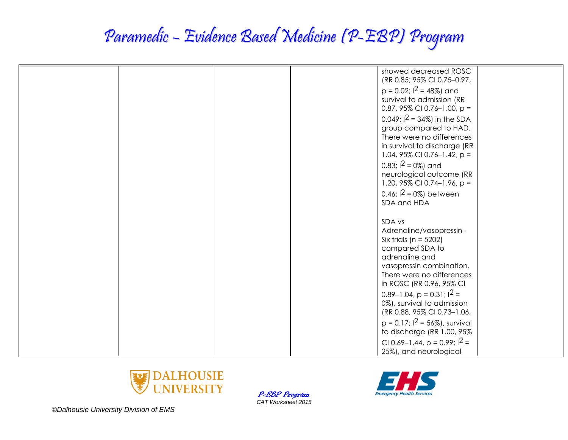|  | showed decreased ROSC                                     |
|--|-----------------------------------------------------------|
|  | (RR 0.85; 95% CI 0.75-0.97,                               |
|  | $p = 0.02$ ; $l^2 = 48\%$ ) and                           |
|  | survival to admission (RR                                 |
|  | 0.87, 95% CI 0.76-1.00, $p =$                             |
|  | 0.049; $1^2$ = 34%) in the SDA                            |
|  | group compared to HAD.                                    |
|  | There were no differences<br>in survival to discharge (RR |
|  | 1.04, 95% CI 0.76-1.42, $p =$                             |
|  | 0.83; $1^2$ = 0%) and                                     |
|  | neurological outcome (RR                                  |
|  | 1.20, 95% CI 0.74-1.96, $p =$                             |
|  | 0.46; $1^2 = 0\%$ ) between                               |
|  | SDA and HDA                                               |
|  |                                                           |
|  | SDA vs                                                    |
|  | Adrenaline/vasopressin -                                  |
|  | Six trials ( $n = 5202$ )<br>compared SDA to              |
|  | adrenaline and                                            |
|  | vasopressin combination.                                  |
|  | There were no differences                                 |
|  | in ROSC (RR 0.96, 95% CI                                  |
|  | $0.89-1.04$ , p = 0.31; $1^2$ =                           |
|  | 0%), survival to admission                                |
|  | (RR 0.88, 95% CI 0.73-1.06,                               |
|  | $p = 0.17$ ; $1^2 = 56\%$ ), survival                     |
|  | to discharge (RR 1.00, 95%                                |
|  | CI 0.69-1.44, $p = 0.99$ ; $1^2 =$                        |
|  |                                                           |



P-EBP Program *CAT Worksheet 2015*

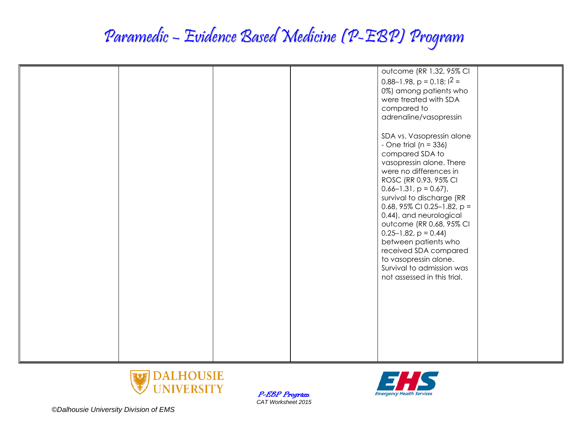|  |  | outcome (RR 1.32, 95% CI          |  |
|--|--|-----------------------------------|--|
|  |  | $0.88 - 1.98$ , p = 0.18; $1^2$ = |  |
|  |  | 0%) among patients who            |  |
|  |  | were treated with SDA             |  |
|  |  |                                   |  |
|  |  | compared to                       |  |
|  |  | adrenaline/vasopressin            |  |
|  |  |                                   |  |
|  |  | SDA vs. Vasopressin alone         |  |
|  |  | - One trial ( $n = 336$ )         |  |
|  |  | compared SDA to                   |  |
|  |  | vasopressin alone. There          |  |
|  |  | were no differences in            |  |
|  |  | ROSC (RR 0.93, 95% CI             |  |
|  |  | $0.66 - 1.31$ , $p = 0.67$ ),     |  |
|  |  | survival to discharge (RR         |  |
|  |  | 0.68, 95% CI 0.25-1.82, $p =$     |  |
|  |  | 0.44), and neurological           |  |
|  |  |                                   |  |
|  |  | outcome (RR 0.68, 95% CI          |  |
|  |  | $0.25 - 1.82$ , $p = 0.44$        |  |
|  |  | between patients who              |  |
|  |  | received SDA compared             |  |
|  |  | to vasopressin alone.             |  |
|  |  | Survival to admission was         |  |
|  |  | not assessed in this trial.       |  |
|  |  |                                   |  |
|  |  |                                   |  |
|  |  |                                   |  |
|  |  |                                   |  |
|  |  |                                   |  |
|  |  |                                   |  |
|  |  |                                   |  |
|  |  |                                   |  |
|  |  |                                   |  |
|  |  |                                   |  |



P-EBP Program *CAT Worksheet 2015*

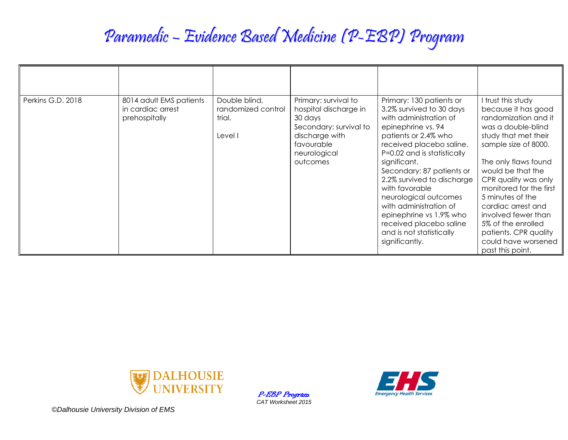| Perkins G.D. 2018 | 8014 adult EMS patients<br>in cardiac arrest<br>prehospitally | Double blind,<br>randomized control<br>trial.<br>Level I | Primary: survival to<br>hospital discharge in<br>30 days<br>Secondary: survival to<br>discharge with<br>favourable<br>neurological<br>outcomes | Primary: 130 patients or<br>3.2% survived to 30 days<br>with administration of<br>epinephrine vs. 94<br>patients or 2.4% who<br>received placebo saline.<br>P=0.02 and is statistically<br>significant.<br>Secondary: 87 patients or<br>2.2% survived to discharge<br>with favorable<br>neurological outcomes<br>with administration of<br>epinephrine vs 1.9% who<br>received placebo saline<br>and is not statistically<br>significantly. | I trust this study<br>because it has good<br>randomization and it<br>was a double-blind<br>study that met their<br>sample size of 8000.<br>The only flaws found<br>would be that the<br>CPR quality was only<br>monitored for the first<br>5 minutes of the<br>cardiac arrest and<br>involved fewer than<br>5% of the enrolled<br>patients. CPR quality<br>could have worsened<br>past this point. |
|-------------------|---------------------------------------------------------------|----------------------------------------------------------|------------------------------------------------------------------------------------------------------------------------------------------------|---------------------------------------------------------------------------------------------------------------------------------------------------------------------------------------------------------------------------------------------------------------------------------------------------------------------------------------------------------------------------------------------------------------------------------------------|----------------------------------------------------------------------------------------------------------------------------------------------------------------------------------------------------------------------------------------------------------------------------------------------------------------------------------------------------------------------------------------------------|



P-EBP Program *CAT Worksheet 2015*